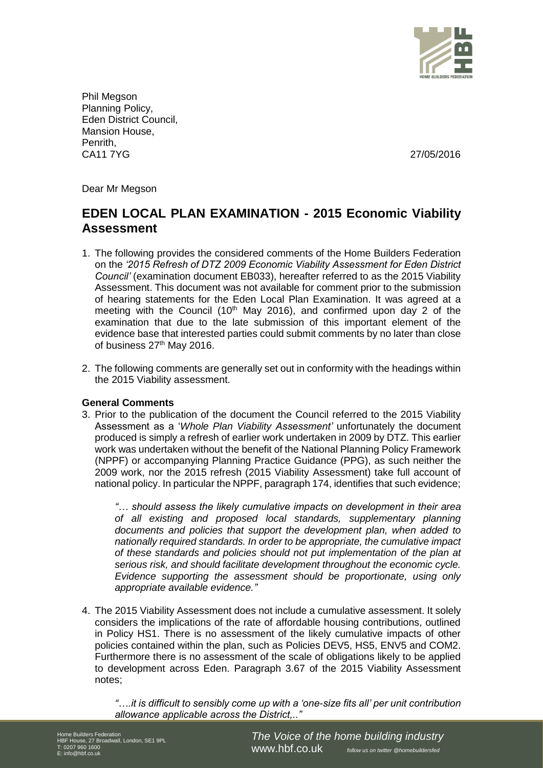

Phil Megson Planning Policy, Eden District Council, Mansion House, Penrith, CA11 7YG 27/05/2016

Dear Mr Megson

# **EDEN LOCAL PLAN EXAMINATION - 2015 Economic Viability Assessment**

- 1. The following provides the considered comments of the Home Builders Federation on the *'2015 Refresh of DTZ 2009 Economic Viability Assessment for Eden District Council'* (examination document EB033), hereafter referred to as the 2015 Viability Assessment. This document was not available for comment prior to the submission of hearing statements for the Eden Local Plan Examination. It was agreed at a meeting with the Council (10<sup>th</sup> May 2016), and confirmed upon day 2 of the examination that due to the late submission of this important element of the evidence base that interested parties could submit comments by no later than close of business 27<sup>th</sup> May 2016.
- 2. The following comments are generally set out in conformity with the headings within the 2015 Viability assessment.

## **General Comments**

3. Prior to the publication of the document the Council referred to the 2015 Viability Assessment as a '*Whole Plan Viability Assessment'* unfortunately the document produced is simply a refresh of earlier work undertaken in 2009 by DTZ. This earlier work was undertaken without the benefit of the National Planning Policy Framework (NPPF) or accompanying Planning Practice Guidance (PPG), as such neither the 2009 work, nor the 2015 refresh (2015 Viability Assessment) take full account of national policy. In particular the NPPF, paragraph 174, identifies that such evidence;

*"… should assess the likely cumulative impacts on development in their area of all existing and proposed local standards, supplementary planning documents and policies that support the development plan, when added to nationally required standards. In order to be appropriate, the cumulative impact of these standards and policies should not put implementation of the plan at serious risk, and should facilitate development throughout the economic cycle. Evidence supporting the assessment should be proportionate, using only appropriate available evidence."*

4. The 2015 Viability Assessment does not include a cumulative assessment. It solely considers the implications of the rate of affordable housing contributions, outlined in Policy HS1. There is no assessment of the likely cumulative impacts of other policies contained within the plan, such as Policies DEV5, HS5, ENV5 and COM2. Furthermore there is no assessment of the scale of obligations likely to be applied to development across Eden. Paragraph 3.67 of the 2015 Viability Assessment notes;

*"….it is difficult to sensibly come up with a 'one-size fits all' per unit contribution allowance applicable across the District,.."*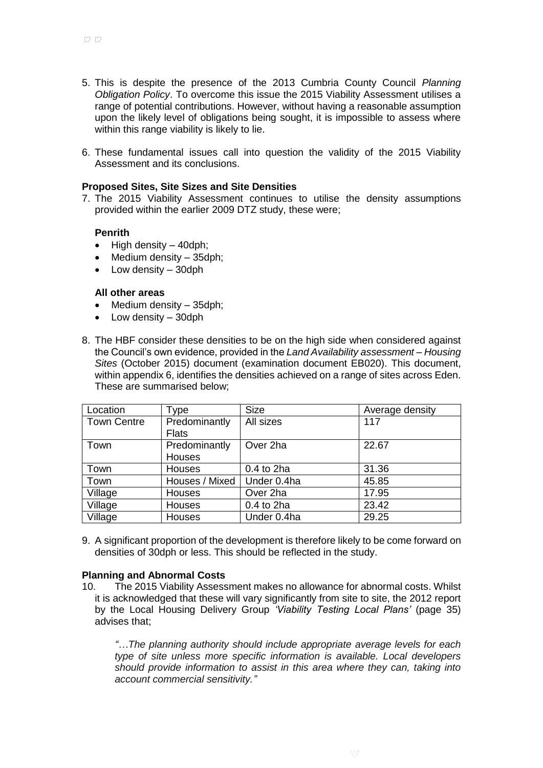- 5. This is despite the presence of the 2013 Cumbria County Council *Planning Obligation Policy*. To overcome this issue the 2015 Viability Assessment utilises a range of potential contributions. However, without having a reasonable assumption upon the likely level of obligations being sought, it is impossible to assess where within this range viability is likely to lie.
- 6. These fundamental issues call into question the validity of the 2015 Viability Assessment and its conclusions.

#### **Proposed Sites, Site Sizes and Site Densities**

7. The 2015 Viability Assessment continues to utilise the density assumptions provided within the earlier 2009 DTZ study, these were;

#### **Penrith**

- $\bullet$  High density 40dph;
- Medium density 35dph;
- Low density 30dph

#### **All other areas**

- $\bullet$  Medium density  $-$  35dph;
- Low density 30dph
- 8. The HBF consider these densities to be on the high side when considered against the Council's own evidence, provided in the *Land Availability assessment – Housing Sites* (October 2015) document (examination document EB020). This document, within appendix 6, identifies the densities achieved on a range of sites across Eden. These are summarised below;

| Location           | Type           | <b>Size</b> | Average density |
|--------------------|----------------|-------------|-----------------|
| <b>Town Centre</b> | Predominantly  | All sizes   | 117             |
|                    | <b>Flats</b>   |             |                 |
| Town               | Predominantly  | Over 2ha    | 22.67           |
|                    | Houses         |             |                 |
| Town               | Houses         | 0.4 to 2ha  | 31.36           |
| Town               | Houses / Mixed | Under 0.4ha | 45.85           |
| Village            | Houses         | Over 2ha    | 17.95           |
| Village            | Houses         | 0.4 to 2ha  | 23.42           |
| Village            | <b>Houses</b>  | Under 0.4ha | 29.25           |

9. A significant proportion of the development is therefore likely to be come forward on densities of 30dph or less. This should be reflected in the study.

#### **Planning and Abnormal Costs**

10. The 2015 Viability Assessment makes no allowance for abnormal costs. Whilst it is acknowledged that these will vary significantly from site to site, the 2012 report by the Local Housing Delivery Group *'Viability Testing Local Plans'* (page 35) advises that;

*"…The planning authority should include appropriate average levels for each type of site unless more specific information is available. Local developers should provide information to assist in this area where they can, taking into account commercial sensitivity."*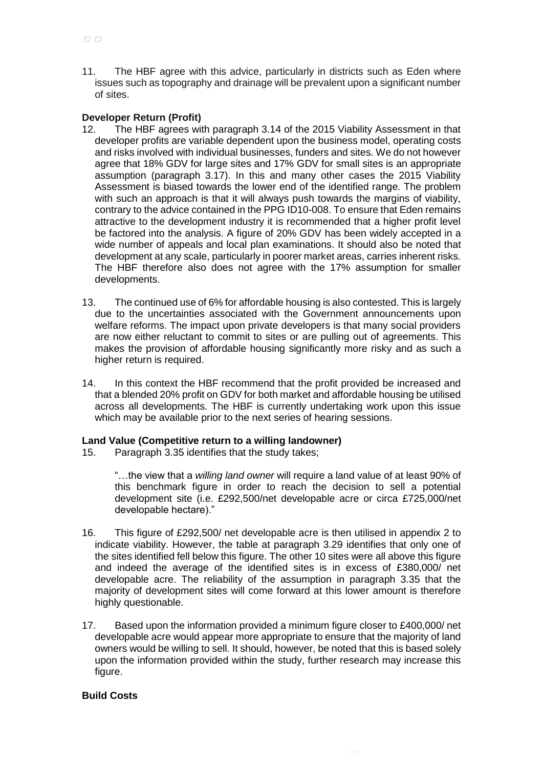11. The HBF agree with this advice, particularly in districts such as Eden where issues such as topography and drainage will be prevalent upon a significant number of sites.

# **Developer Return (Profit)**

- 12. The HBF agrees with paragraph 3.14 of the 2015 Viability Assessment in that developer profits are variable dependent upon the business model, operating costs and risks involved with individual businesses, funders and sites. We do not however agree that 18% GDV for large sites and 17% GDV for small sites is an appropriate assumption (paragraph 3.17). In this and many other cases the 2015 Viability Assessment is biased towards the lower end of the identified range. The problem with such an approach is that it will always push towards the margins of viability, contrary to the advice contained in the PPG ID10-008. To ensure that Eden remains attractive to the development industry it is recommended that a higher profit level be factored into the analysis. A figure of 20% GDV has been widely accepted in a wide number of appeals and local plan examinations. It should also be noted that development at any scale, particularly in poorer market areas, carries inherent risks. The HBF therefore also does not agree with the 17% assumption for smaller developments.
- 13. The continued use of 6% for affordable housing is also contested. This is largely due to the uncertainties associated with the Government announcements upon welfare reforms. The impact upon private developers is that many social providers are now either reluctant to commit to sites or are pulling out of agreements. This makes the provision of affordable housing significantly more risky and as such a higher return is required.
- 14. In this context the HBF recommend that the profit provided be increased and that a blended 20% profit on GDV for both market and affordable housing be utilised across all developments. The HBF is currently undertaking work upon this issue which may be available prior to the next series of hearing sessions.

## **Land Value (Competitive return to a willing landowner)**

15. Paragraph 3.35 identifies that the study takes;

"…the view that a *willing land owner* will require a land value of at least 90% of this benchmark figure in order to reach the decision to sell a potential development site (i.e. £292,500/net developable acre or circa £725,000/net developable hectare)."

- 16. This figure of £292,500/ net developable acre is then utilised in appendix 2 to indicate viability. However, the table at paragraph 3.29 identifies that only one of the sites identified fell below this figure. The other 10 sites were all above this figure and indeed the average of the identified sites is in excess of £380,000/ net developable acre. The reliability of the assumption in paragraph 3.35 that the majority of development sites will come forward at this lower amount is therefore highly questionable.
- 17. Based upon the information provided a minimum figure closer to £400,000/ net developable acre would appear more appropriate to ensure that the majority of land owners would be willing to sell. It should, however, be noted that this is based solely upon the information provided within the study, further research may increase this figure.

## **Build Costs**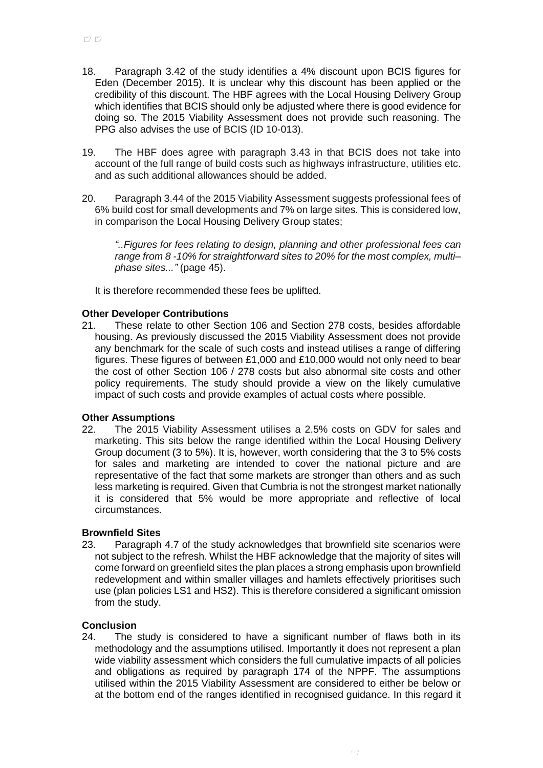- 18. Paragraph 3.42 of the study identifies a 4% discount upon BCIS figures for Eden (December 2015). It is unclear why this discount has been applied or the credibility of this discount. The HBF agrees with the Local Housing Delivery Group which identifies that BCIS should only be adjusted where there is good evidence for doing so. The 2015 Viability Assessment does not provide such reasoning. The PPG also advises the use of BCIS (ID 10-013).
- 19. The HBF does agree with paragraph 3.43 in that BCIS does not take into account of the full range of build costs such as highways infrastructure, utilities etc. and as such additional allowances should be added.
- 20. Paragraph 3.44 of the 2015 Viability Assessment suggests professional fees of 6% build cost for small developments and 7% on large sites. This is considered low, in comparison the Local Housing Delivery Group states;

*"..Figures for fees relating to design, planning and other professional fees can range from 8 -10% for straightforward sites to 20% for the most complex, multi– phase sites..."* (page 45).

It is therefore recommended these fees be uplifted.

## **Other Developer Contributions**

21. These relate to other Section 106 and Section 278 costs, besides affordable housing. As previously discussed the 2015 Viability Assessment does not provide any benchmark for the scale of such costs and instead utilises a range of differing figures. These figures of between £1,000 and £10,000 would not only need to bear the cost of other Section 106 / 278 costs but also abnormal site costs and other policy requirements. The study should provide a view on the likely cumulative impact of such costs and provide examples of actual costs where possible.

## **Other Assumptions**

22. The 2015 Viability Assessment utilises a 2.5% costs on GDV for sales and marketing. This sits below the range identified within the Local Housing Delivery Group document (3 to 5%). It is, however, worth considering that the 3 to 5% costs for sales and marketing are intended to cover the national picture and are representative of the fact that some markets are stronger than others and as such less marketing is required. Given that Cumbria is not the strongest market nationally it is considered that 5% would be more appropriate and reflective of local circumstances.

## **Brownfield Sites**

23. Paragraph 4.7 of the study acknowledges that brownfield site scenarios were not subject to the refresh. Whilst the HBF acknowledge that the majority of sites will come forward on greenfield sites the plan places a strong emphasis upon brownfield redevelopment and within smaller villages and hamlets effectively prioritises such use (plan policies LS1 and HS2). This is therefore considered a significant omission from the study.

# **Conclusion**

24. The study is considered to have a significant number of flaws both in its methodology and the assumptions utilised. Importantly it does not represent a plan wide viability assessment which considers the full cumulative impacts of all policies and obligations as required by paragraph 174 of the NPPF. The assumptions utilised within the 2015 Viability Assessment are considered to either be below or at the bottom end of the ranges identified in recognised guidance. In this regard it